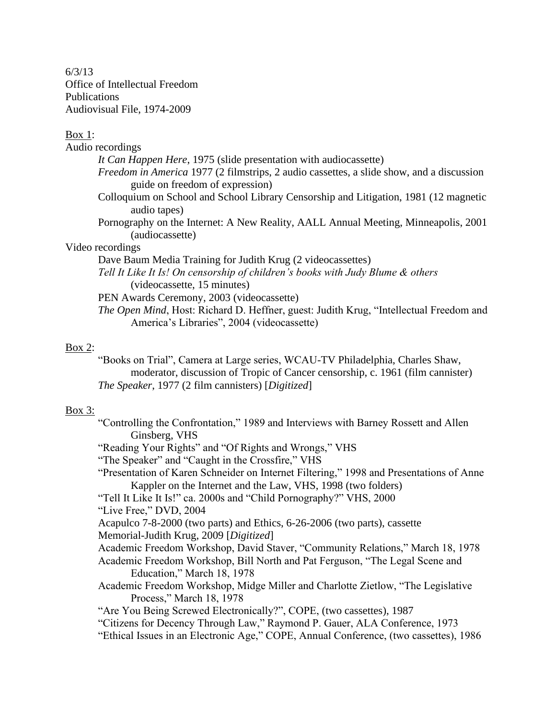6/3/13 Office of Intellectual Freedom Publications Audiovisual File, 1974-2009

# $Box 1$ :

| Audio recordings                                                                                                            |
|-----------------------------------------------------------------------------------------------------------------------------|
| It Can Happen Here, 1975 (slide presentation with audiocassette)                                                            |
| Freedom in America 1977 (2 filmstrips, 2 audio cassettes, a slide show, and a discussion<br>guide on freedom of expression) |
| Colloquium on School and School Library Censorship and Litigation, 1981 (12 magnetic<br>audio tapes)                        |
| Pornography on the Internet: A New Reality, AALL Annual Meeting, Minneapolis, 2001<br>(audiocassette)                       |
| Video recordings                                                                                                            |
| Dave Baum Media Training for Judith Krug (2 videocassettes)                                                                 |
| Tell It Like It Is! On censorship of children's books with Judy Blume & others<br>(videocassette, 15 minutes)               |
| PEN Awards Ceremony, 2003 (videocassette)                                                                                   |
| <i>The Open Mind</i> , Host: Richard D. Heffner, guest: Judith Krug, "Intellectual Freedom and                              |
| America's Libraries", 2004 (videocassette)                                                                                  |

# Box  $2$ :

"Books on Trial", Camera at Large series, WCAU-TV Philadelphia, Charles Shaw, moderator, discussion of Tropic of Cancer censorship, c. 1961 (film cannister) *The Speaker*, 1977 (2 film cannisters) [*Digitized*]

# Box 3:

| "Controlling the Confrontation," 1989 and Interviews with Barney Rossett and Allen |  |  |  |
|------------------------------------------------------------------------------------|--|--|--|
| Ginsberg, VHS                                                                      |  |  |  |

"Reading Your Rights" and "Of Rights and Wrongs," VHS

"The Speaker" and "Caught in the Crossfire," VHS

"Presentation of Karen Schneider on Internet Filtering," 1998 and Presentations of Anne Kappler on the Internet and the Law, VHS, 1998 (two folders)

"Tell It Like It Is!" ca. 2000s and "Child Pornography?" VHS, 2000

"Live Free," DVD, 2004

Acapulco 7-8-2000 (two parts) and Ethics, 6-26-2006 (two parts), cassette

Memorial-Judith Krug, 2009 [*Digitized*]

Academic Freedom Workshop, David Staver, "Community Relations," March 18, 1978

Academic Freedom Workshop, Bill North and Pat Ferguson, "The Legal Scene and Education," March 18, 1978

Academic Freedom Workshop, Midge Miller and Charlotte Zietlow, "The Legislative Process," March 18, 1978

"Are You Being Screwed Electronically?", COPE, (two cassettes), 1987

"Citizens for Decency Through Law," Raymond P. Gauer, ALA Conference, 1973

"Ethical Issues in an Electronic Age," COPE, Annual Conference, (two cassettes), 1986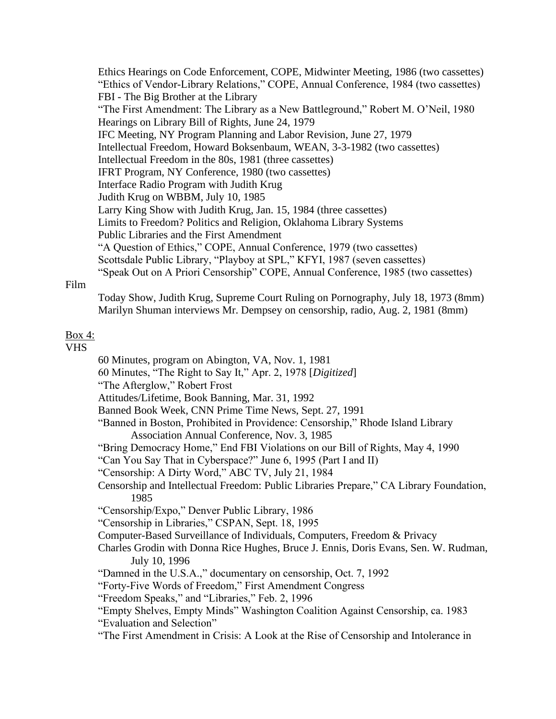Ethics Hearings on Code Enforcement, COPE, Midwinter Meeting, 1986 (two cassettes) "Ethics of Vendor-Library Relations," COPE, Annual Conference, 1984 (two cassettes) FBI - The Big Brother at the Library "The First Amendment: The Library as a New Battleground," Robert M. O'Neil, 1980 Hearings on Library Bill of Rights, June 24, 1979 IFC Meeting, NY Program Planning and Labor Revision, June 27, 1979 Intellectual Freedom, Howard Boksenbaum, WEAN, 3-3-1982 (two cassettes) Intellectual Freedom in the 80s, 1981 (three cassettes) IFRT Program, NY Conference, 1980 (two cassettes) Interface Radio Program with Judith Krug Judith Krug on WBBM, July 10, 1985 Larry King Show with Judith Krug, Jan. 15, 1984 (three cassettes) Limits to Freedom? Politics and Religion, Oklahoma Library Systems Public Libraries and the First Amendment "A Question of Ethics," COPE, Annual Conference, 1979 (two cassettes) Scottsdale Public Library, "Playboy at SPL," KFYI, 1987 (seven cassettes) "Speak Out on A Priori Censorship" COPE, Annual Conference, 1985 (two cassettes)

## Film

Today Show, Judith Krug, Supreme Court Ruling on Pornography, July 18, 1973 (8mm) Marilyn Shuman interviews Mr. Dempsey on censorship, radio, Aug. 2, 1981 (8mm)

## Box 4:

VHS

60 Minutes, program on Abington, VA, Nov. 1, 1981 60 Minutes, "The Right to Say It," Apr. 2, 1978 [*Digitized*] "The Afterglow," Robert Frost Attitudes/Lifetime, Book Banning, Mar. 31, 1992 Banned Book Week, CNN Prime Time News, Sept. 27, 1991 "Banned in Boston, Prohibited in Providence: Censorship," Rhode Island Library Association Annual Conference, Nov. 3, 1985 "Bring Democracy Home," End FBI Violations on our Bill of Rights, May 4, 1990 "Can You Say That in Cyberspace?" June 6, 1995 (Part I and II) "Censorship: A Dirty Word," ABC TV, July 21, 1984 Censorship and Intellectual Freedom: Public Libraries Prepare," CA Library Foundation, 1985 "Censorship/Expo," Denver Public Library, 1986 "Censorship in Libraries," CSPAN, Sept. 18, 1995 Computer-Based Surveillance of Individuals, Computers, Freedom & Privacy Charles Grodin with Donna Rice Hughes, Bruce J. Ennis, Doris Evans, Sen. W. Rudman, July 10, 1996 "Damned in the U.S.A.," documentary on censorship, Oct. 7, 1992 "Forty-Five Words of Freedom," First Amendment Congress "Freedom Speaks," and "Libraries," Feb. 2, 1996 "Empty Shelves, Empty Minds" Washington Coalition Against Censorship, ca. 1983 "Evaluation and Selection" "The First Amendment in Crisis: A Look at the Rise of Censorship and Intolerance in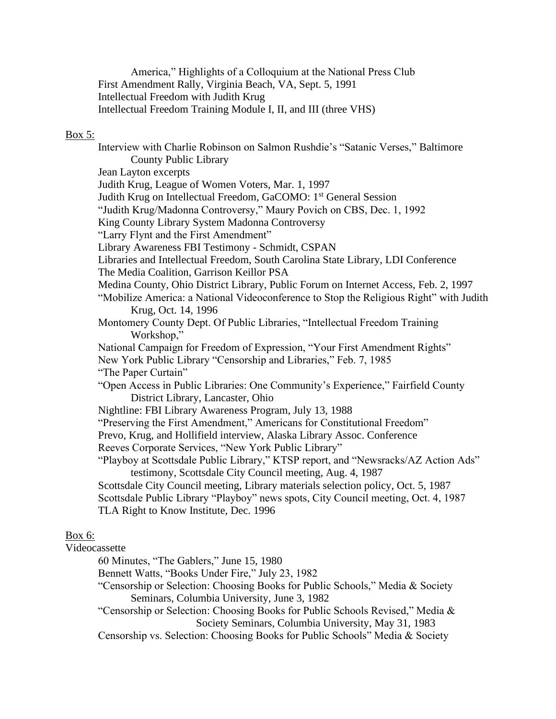America," Highlights of a Colloquium at the National Press Club First Amendment Rally, Virginia Beach, VA, Sept. 5, 1991 Intellectual Freedom with Judith Krug Intellectual Freedom Training Module I, II, and III (three VHS)

#### Box 5:

Interview with Charlie Robinson on Salmon Rushdie's "Satanic Verses," Baltimore County Public Library Jean Layton excerpts Judith Krug, League of Women Voters, Mar. 1, 1997 Judith Krug on Intellectual Freedom, GaCOMO: 1st General Session "Judith Krug/Madonna Controversy," Maury Povich on CBS, Dec. 1, 1992 King County Library System Madonna Controversy "Larry Flynt and the First Amendment" Library Awareness FBI Testimony - Schmidt, CSPAN Libraries and Intellectual Freedom, South Carolina State Library, LDI Conference The Media Coalition, Garrison Keillor PSA Medina County, Ohio District Library, Public Forum on Internet Access, Feb. 2, 1997 "Mobilize America: a National Videoconference to Stop the Religious Right" with Judith Krug, Oct. 14, 1996 Montomery County Dept. Of Public Libraries, "Intellectual Freedom Training Workshop," National Campaign for Freedom of Expression, "Your First Amendment Rights" New York Public Library "Censorship and Libraries," Feb. 7, 1985 "The Paper Curtain" "Open Access in Public Libraries: One Community's Experience," Fairfield County District Library, Lancaster, Ohio Nightline: FBI Library Awareness Program, July 13, 1988 "Preserving the First Amendment," Americans for Constitutional Freedom" Prevo, Krug, and Hollifield interview, Alaska Library Assoc. Conference Reeves Corporate Services, "New York Public Library" "Playboy at Scottsdale Public Library," KTSP report, and "Newsracks/AZ Action Ads" testimony, Scottsdale City Council meeting, Aug. 4, 1987 Scottsdale City Council meeting, Library materials selection policy, Oct. 5, 1987 Scottsdale Public Library "Playboy" news spots, City Council meeting, Oct. 4, 1987 TLA Right to Know Institute, Dec. 1996

# Box 6:

# Videocassette

60 Minutes, "The Gablers," June 15, 1980

Bennett Watts, "Books Under Fire," July 23, 1982

"Censorship or Selection: Choosing Books for Public Schools," Media & Society Seminars, Columbia University, June 3, 1982

"Censorship or Selection: Choosing Books for Public Schools Revised," Media & Society Seminars, Columbia University, May 31, 1983

Censorship vs. Selection: Choosing Books for Public Schools" Media & Society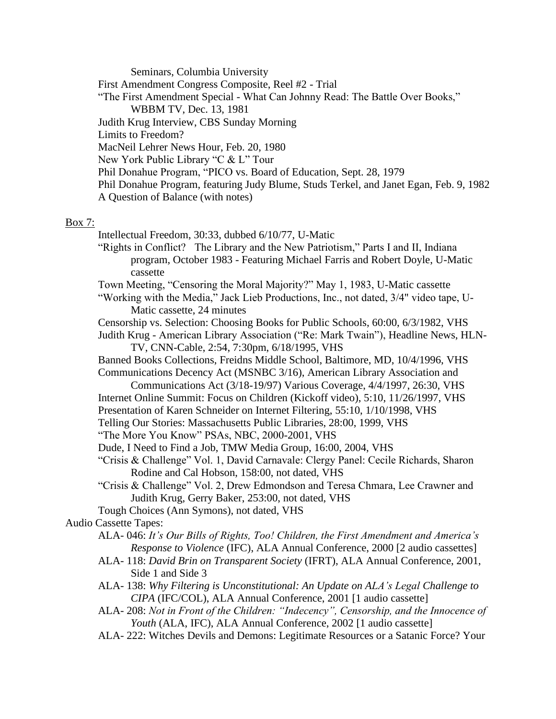Seminars, Columbia University First Amendment Congress Composite, Reel #2 - Trial "The First Amendment Special - What Can Johnny Read: The Battle Over Books," WBBM TV, Dec. 13, 1981 Judith Krug Interview, CBS Sunday Morning Limits to Freedom? MacNeil Lehrer News Hour, Feb. 20, 1980 New York Public Library "C & L" Tour Phil Donahue Program, "PICO vs. Board of Education, Sept. 28, 1979 Phil Donahue Program, featuring Judy Blume, Studs Terkel, and Janet Egan, Feb. 9, 1982 A Question of Balance (with notes)

# Box 7:

Intellectual Freedom, 30:33, dubbed 6/10/77, U-Matic

"Rights in Conflict? The Library and the New Patriotism," Parts I and II, Indiana program, October 1983 - Featuring Michael Farris and Robert Doyle, U-Matic cassette

Town Meeting, "Censoring the Moral Majority?" May 1, 1983, U-Matic cassette

"Working with the Media," Jack Lieb Productions, Inc., not dated, 3/4" video tape, U-Matic cassette, 24 minutes

Censorship vs. Selection: Choosing Books for Public Schools, 60:00, 6/3/1982, VHS Judith Krug - American Library Association ("Re: Mark Twain"), Headline News, HLN-

TV, CNN-Cable, 2:54, 7:30pm, 6/18/1995, VHS

Banned Books Collections, Freidns Middle School, Baltimore, MD, 10/4/1996, VHS Communications Decency Act (MSNBC 3/16), American Library Association and

- Communications Act (3/18-19/97) Various Coverage, 4/4/1997, 26:30, VHS
- Internet Online Summit: Focus on Children (Kickoff video), 5:10, 11/26/1997, VHS

Presentation of Karen Schneider on Internet Filtering, 55:10, 1/10/1998, VHS

Telling Our Stories: Massachusetts Public Libraries, 28:00, 1999, VHS

"The More You Know" PSAs, NBC, 2000-2001, VHS

Dude, I Need to Find a Job, TMW Media Group, 16:00, 2004, VHS

- "Crisis & Challenge" Vol. 1, David Carnavale: Clergy Panel: Cecile Richards, Sharon Rodine and Cal Hobson, 158:00, not dated, VHS
- "Crisis & Challenge" Vol. 2, Drew Edmondson and Teresa Chmara, Lee Crawner and Judith Krug, Gerry Baker, 253:00, not dated, VHS
- Tough Choices (Ann Symons), not dated, VHS

Audio Cassette Tapes:

- ALA- 046: *It's Our Bills of Rights, Too! Children, the First Amendment and America's Response to Violence* (IFC), ALA Annual Conference, 2000 [2 audio cassettes]
- ALA- 118: *David Brin on Transparent Society* (IFRT), ALA Annual Conference, 2001, Side 1 and Side 3
- ALA- 138: *Why Filtering is Unconstitutional: An Update on ALA's Legal Challenge to CIPA* (IFC/COL), ALA Annual Conference, 2001 [1 audio cassette]
- ALA- 208: *Not in Front of the Children: "Indecency", Censorship, and the Innocence of Youth* (ALA, IFC), ALA Annual Conference, 2002 [1 audio cassette]
- ALA- 222: Witches Devils and Demons: Legitimate Resources or a Satanic Force? Your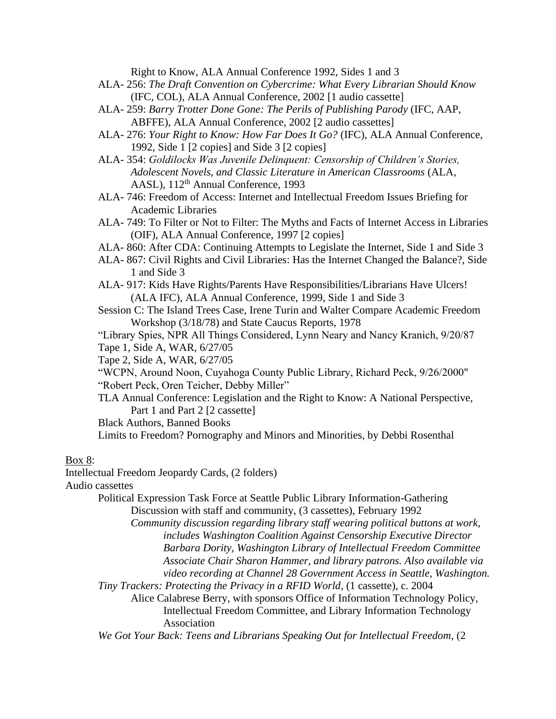Right to Know, ALA Annual Conference 1992, Sides 1 and 3

- ALA- 256: *The Draft Convention on Cybercrime: What Every Librarian Should Know* (IFC, COL), ALA Annual Conference, 2002 [1 audio cassette]
- ALA- 259: *Barry Trotter Done Gone: The Perils of Publishing Parody* (IFC, AAP, ABFFE), ALA Annual Conference, 2002 [2 audio cassettes]
- ALA- 276: *Your Right to Know: How Far Does It Go?* (IFC), ALA Annual Conference, 1992, Side 1 [2 copies] and Side 3 [2 copies]
- ALA- 354: *Goldilocks Was Juvenile Delinquent: Censorship of Children's Stories, Adolescent Novels, and Classic Literature in American Classrooms* (ALA, AASL),  $112<sup>th</sup>$  Annual Conference, 1993
- ALA- 746: Freedom of Access: Internet and Intellectual Freedom Issues Briefing for Academic Libraries
- ALA- 749: To Filter or Not to Filter: The Myths and Facts of Internet Access in Libraries (OIF), ALA Annual Conference, 1997 [2 copies]
- ALA- 860: After CDA: Continuing Attempts to Legislate the Internet, Side 1 and Side 3
- ALA- 867: Civil Rights and Civil Libraries: Has the Internet Changed the Balance?, Side 1 and Side 3
- ALA- 917: Kids Have Rights/Parents Have Responsibilities/Librarians Have Ulcers! (ALA IFC), ALA Annual Conference, 1999, Side 1 and Side 3
- Session C: The Island Trees Case, Irene Turin and Walter Compare Academic Freedom Workshop (3/18/78) and State Caucus Reports, 1978
- "Library Spies, NPR All Things Considered, Lynn Neary and Nancy Kranich, 9/20/87 Tape 1, Side A, WAR, 6/27/05

Tape 2, Side A, WAR, 6/27/05

- "WCPN, Around Noon, Cuyahoga County Public Library, Richard Peck, 9/26/2000" "Robert Peck, Oren Teicher, Debby Miller"
- TLA Annual Conference: Legislation and the Right to Know: A National Perspective, Part 1 and Part 2 [2 cassette]

Black Authors, Banned Books

Limits to Freedom? Pornography and Minors and Minorities, by Debbi Rosenthal

# Box 8:

Intellectual Freedom Jeopardy Cards, (2 folders)

Audio cassettes

Political Expression Task Force at Seattle Public Library Information-Gathering Discussion with staff and community, (3 cassettes), February 1992

- *Community discussion regarding library staff wearing political buttons at work, includes Washington Coalition Against Censorship Executive Director Barbara Dority, Washington Library of Intellectual Freedom Committee Associate Chair Sharon Hammer, and library patrons. Also available via video recording at Channel 28 Government Access in Seattle, Washington.*
- *Tiny Trackers: Protecting the Privacy in a RFID World*, (1 cassette), c. 2004
	- Alice Calabrese Berry, with sponsors Office of Information Technology Policy, Intellectual Freedom Committee, and Library Information Technology Association

*We Got Your Back: Teens and Librarians Speaking Out for Intellectual Freedom*, (2